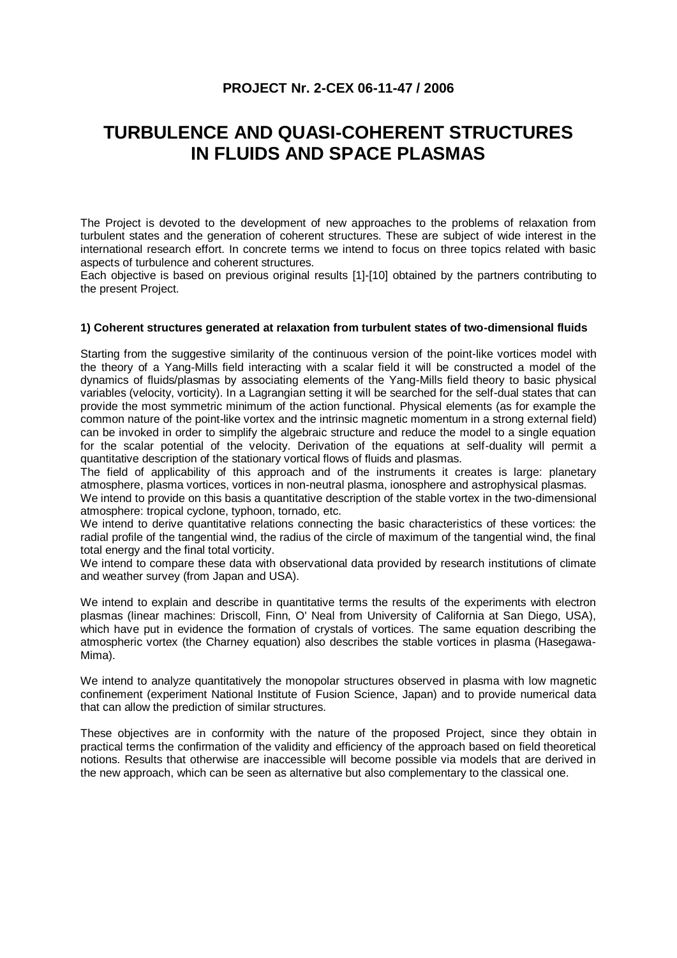# **PROJECT Nr. 2-CEX 06-11-47 / 2006**

# **TURBULENCE AND QUASI-COHERENT STRUCTURES IN FLUIDS AND SPACE PLASMAS**

The Project is devoted to the development of new approaches to the problems of relaxation from turbulent states and the generation of coherent structures. These are subject of wide interest in the international research effort. In concrete terms we intend to focus on three topics related with basic aspects of turbulence and coherent structures.

Each objective is based on previous original results [1]-[10] obtained by the partners contributing to the present Project.

#### **1) Coherent structures generated at relaxation from turbulent states of two-dimensional fluids**

Starting from the suggestive similarity of the continuous version of the point-like vortices model with the theory of a Yang-Mills field interacting with a scalar field it will be constructed a model of the dynamics of fluids/plasmas by associating elements of the Yang-Mills field theory to basic physical variables (velocity, vorticity). In a Lagrangian setting it will be searched for the self-dual states that can provide the most symmetric minimum of the action functional. Physical elements (as for example the common nature of the point-like vortex and the intrinsic magnetic momentum in a strong external field) can be invoked in order to simplify the algebraic structure and reduce the model to a single equation for the scalar potential of the velocity. Derivation of the equations at self-duality will permit a quantitative description of the stationary vortical flows of fluids and plasmas.

The field of applicability of this approach and of the instruments it creates is large: planetary atmosphere, plasma vortices, vortices in non-neutral plasma, ionosphere and astrophysical plasmas.

We intend to provide on this basis a quantitative description of the stable vortex in the two-dimensional atmosphere: tropical cyclone, typhoon, tornado, etc.

We intend to derive quantitative relations connecting the basic characteristics of these vortices: the radial profile of the tangential wind, the radius of the circle of maximum of the tangential wind, the final total energy and the final total vorticity.

We intend to compare these data with observational data provided by research institutions of climate and weather survey (from Japan and USA).

We intend to explain and describe in quantitative terms the results of the experiments with electron plasmas (linear machines: Driscoll, Finn, O' Neal from University of California at San Diego, USA), which have put in evidence the formation of crystals of vortices. The same equation describing the atmospheric vortex (the Charney equation) also describes the stable vortices in plasma (Hasegawa-Mima).

We intend to analyze quantitatively the monopolar structures observed in plasma with low magnetic confinement (experiment National Institute of Fusion Science, Japan) and to provide numerical data that can allow the prediction of similar structures.

These objectives are in conformity with the nature of the proposed Project, since they obtain in practical terms the confirmation of the validity and efficiency of the approach based on field theoretical notions. Results that otherwise are inaccessible will become possible via models that are derived in the new approach, which can be seen as alternative but also complementary to the classical one.